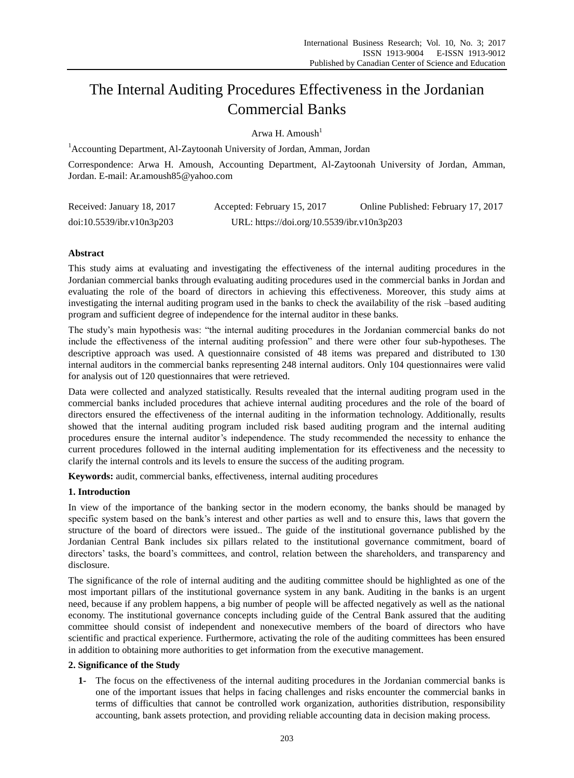# The Internal Auditing Procedures Effectiveness in the Jordanian Commercial Banks

Arwa H. Amoush $<sup>1</sup>$ </sup>

<sup>1</sup> Accounting Department, Al-Zaytoonah University of Jordan, Amman, Jordan

Correspondence: Arwa H. Amoush, Accounting Department, Al-Zaytoonah University of Jordan, Amman, Jordan. E-mail: Ar.amoush85@yahoo.com

| Received: January 18, 2017 | Accepted: February 15, 2017                | Online Published: February 17, 2017 |
|----------------------------|--------------------------------------------|-------------------------------------|
| doi:10.5539/ibr.v10n3p203  | URL: https://doi.org/10.5539/ibr.v10n3p203 |                                     |

# **Abstract**

This study aims at evaluating and investigating the effectiveness of the internal auditing procedures in the Jordanian commercial banks through evaluating auditing procedures used in the commercial banks in Jordan and evaluating the role of the board of directors in achieving this effectiveness. Moreover, this study aims at investigating the internal auditing program used in the banks to check the availability of the risk –based auditing program and sufficient degree of independence for the internal auditor in these banks.

The study's main hypothesis was: "the internal auditing procedures in the Jordanian commercial banks do not include the effectiveness of the internal auditing profession" and there were other four sub-hypotheses. The descriptive approach was used. A questionnaire consisted of 48 items was prepared and distributed to 130 internal auditors in the commercial banks representing 248 internal auditors. Only 104 questionnaires were valid for analysis out of 120 questionnaires that were retrieved.

Data were collected and analyzed statistically. Results revealed that the internal auditing program used in the commercial banks included procedures that achieve internal auditing procedures and the role of the board of directors ensured the effectiveness of the internal auditing in the information technology. Additionally, results showed that the internal auditing program included risk based auditing program and the internal auditing procedures ensure the internal auditor's independence. The study recommended the necessity to enhance the current procedures followed in the internal auditing implementation for its effectiveness and the necessity to clarify the internal controls and its levels to ensure the success of the auditing program.

**Keywords:** audit, commercial banks, effectiveness, internal auditing procedures

# **1. Introduction**

In view of the importance of the banking sector in the modern economy, the banks should be managed by specific system based on the bank's interest and other parties as well and to ensure this, laws that govern the structure of the board of directors were issued.. The guide of the institutional governance published by the Jordanian Central Bank includes six pillars related to the institutional governance commitment, board of directors' tasks, the board's committees, and control, relation between the shareholders, and transparency and disclosure.

The significance of the role of internal auditing and the auditing committee should be highlighted as one of the most important pillars of the institutional governance system in any bank. Auditing in the banks is an urgent need, because if any problem happens, a big number of people will be affected negatively as well as the national economy. The institutional governance concepts including guide of the Central Bank assured that the auditing committee should consist of independent and nonexecutive members of the board of directors who have scientific and practical experience. Furthermore, activating the role of the auditing committees has been ensured in addition to obtaining more authorities to get information from the executive management.

# **2. Significance of the Study**

**1-** The focus on the effectiveness of the internal auditing procedures in the Jordanian commercial banks is one of the important issues that helps in facing challenges and risks encounter the commercial banks in terms of difficulties that cannot be controlled work organization, authorities distribution, responsibility accounting, bank assets protection, and providing reliable accounting data in decision making process.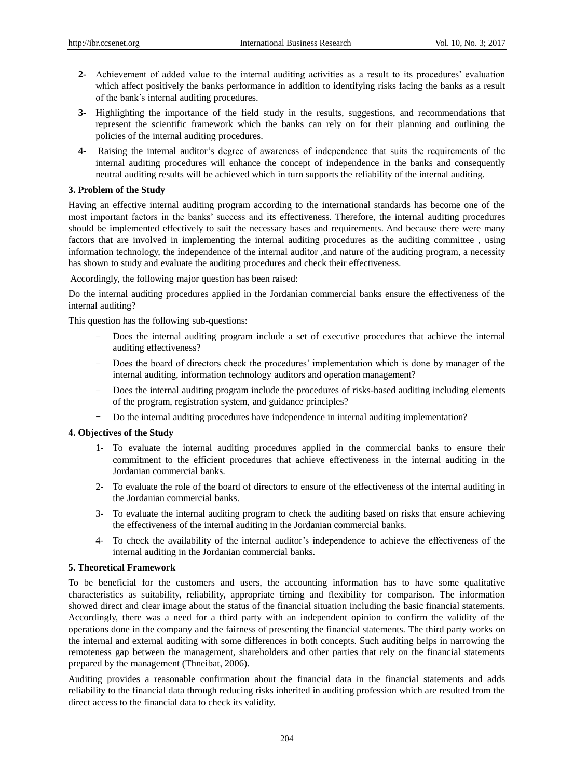- **2-** Achievement of added value to the internal auditing activities as a result to its procedures' evaluation which affect positively the banks performance in addition to identifying risks facing the banks as a result of the bank's internal auditing procedures.
- **3-** Highlighting the importance of the field study in the results, suggestions, and recommendations that represent the scientific framework which the banks can rely on for their planning and outlining the policies of the internal auditing procedures.
- **4-** Raising the internal auditor's degree of awareness of independence that suits the requirements of the internal auditing procedures will enhance the concept of independence in the banks and consequently neutral auditing results will be achieved which in turn supports the reliability of the internal auditing.

# **3. Problem of the Study**

Having an effective internal auditing program according to the international standards has become one of the most important factors in the banks' success and its effectiveness. Therefore, the internal auditing procedures should be implemented effectively to suit the necessary bases and requirements. And because there were many factors that are involved in implementing the internal auditing procedures as the auditing committee , using information technology, the independence of the internal auditor ,and nature of the auditing program, a necessity has shown to study and evaluate the auditing procedures and check their effectiveness.

Accordingly, the following major question has been raised:

Do the internal auditing procedures applied in the Jordanian commercial banks ensure the effectiveness of the internal auditing?

This question has the following sub-questions:

- Does the internal auditing program include a set of executive procedures that achieve the internal auditing effectiveness?
- Does the board of directors check the procedures' implementation which is done by manager of the internal auditing, information technology auditors and operation management?
- Does the internal auditing program include the procedures of risks-based auditing including elements of the program, registration system, and guidance principles?
- Do the internal auditing procedures have independence in internal auditing implementation?

# **4. Objectives of the Study**

- 1- To evaluate the internal auditing procedures applied in the commercial banks to ensure their commitment to the efficient procedures that achieve effectiveness in the internal auditing in the Jordanian commercial banks.
- 2- To evaluate the role of the board of directors to ensure of the effectiveness of the internal auditing in the Jordanian commercial banks.
- 3- To evaluate the internal auditing program to check the auditing based on risks that ensure achieving the effectiveness of the internal auditing in the Jordanian commercial banks.
- 4- To check the availability of the internal auditor's independence to achieve the effectiveness of the internal auditing in the Jordanian commercial banks.

# **5. Theoretical Framework**

To be beneficial for the customers and users, the accounting information has to have some qualitative characteristics as suitability, reliability, appropriate timing and flexibility for comparison. The information showed direct and clear image about the status of the financial situation including the basic financial statements. Accordingly, there was a need for a third party with an independent opinion to confirm the validity of the operations done in the company and the fairness of presenting the financial statements. The third party works on the internal and external auditing with some differences in both concepts. Such auditing helps in narrowing the remoteness gap between the management, shareholders and other parties that rely on the financial statements prepared by the management (Thneibat, 2006).

Auditing provides a reasonable confirmation about the financial data in the financial statements and adds reliability to the financial data through reducing risks inherited in auditing profession which are resulted from the direct access to the financial data to check its validity.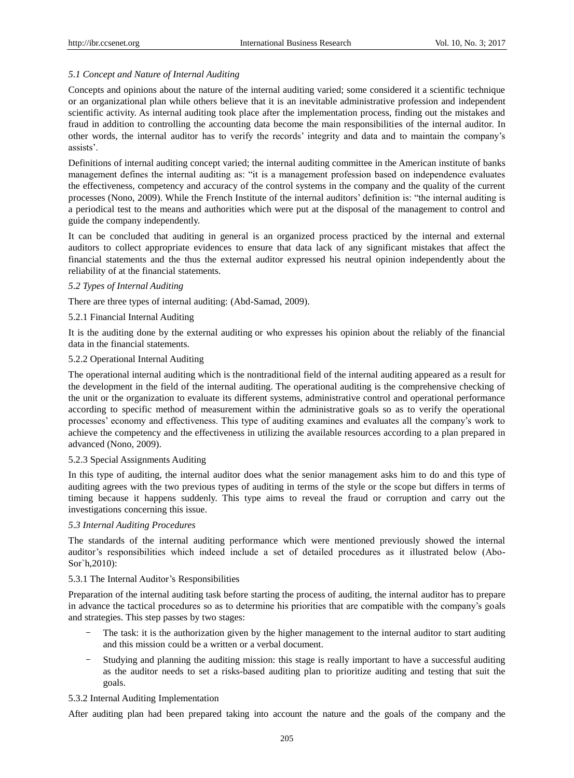# *5.1 Concept and Nature of Internal Auditing*

Concepts and opinions about the nature of the internal auditing varied; some considered it a scientific technique or an organizational plan while others believe that it is an inevitable administrative profession and independent scientific activity. As internal auditing took place after the implementation process, finding out the mistakes and fraud in addition to controlling the accounting data become the main responsibilities of the internal auditor. In other words, the internal auditor has to verify the records' integrity and data and to maintain the company's assists'.

Definitions of internal auditing concept varied; the internal auditing committee in the American institute of banks management defines the internal auditing as: "it is a management profession based on independence evaluates the effectiveness, competency and accuracy of the control systems in the company and the quality of the current processes (Nono, 2009). While the French Institute of the internal auditors' definition is: "the internal auditing is a periodical test to the means and authorities which were put at the disposal of the management to control and guide the company independently.

It can be concluded that auditing in general is an organized process practiced by the internal and external auditors to collect appropriate evidences to ensure that data lack of any significant mistakes that affect the financial statements and the thus the external auditor expressed his neutral opinion independently about the reliability of at the financial statements.

# *5.2 Types of Internal Auditing*

There are three types of internal auditing: (Abd-Samad, 2009).

# 5.2.1 Financial Internal Auditing

It is the auditing done by the external auditing or who expresses his opinion about the reliably of the financial data in the financial statements.

# 5.2.2 Operational Internal Auditing

The operational internal auditing which is the nontraditional field of the internal auditing appeared as a result for the development in the field of the internal auditing. The operational auditing is the comprehensive checking of the unit or the organization to evaluate its different systems, administrative control and operational performance according to specific method of measurement within the administrative goals so as to verify the operational processes' economy and effectiveness. This type of auditing examines and evaluates all the company's work to achieve the competency and the effectiveness in utilizing the available resources according to a plan prepared in advanced (Nono, 2009).

# 5.2.3 Special Assignments Auditing

In this type of auditing, the internal auditor does what the senior management asks him to do and this type of auditing agrees with the two previous types of auditing in terms of the style or the scope but differs in terms of timing because it happens suddenly. This type aims to reveal the fraud or corruption and carry out the investigations concerning this issue.

# *5.3 Internal Auditing Procedures*

The standards of the internal auditing performance which were mentioned previously showed the internal auditor's responsibilities which indeed include a set of detailed procedures as it illustrated below (Abo-Sor`h,2010):

# 5.3.1 The Internal Auditor's Responsibilities

Preparation of the internal auditing task before starting the process of auditing, the internal auditor has to prepare in advance the tactical procedures so as to determine his priorities that are compatible with the company's goals and strategies. This step passes by two stages:

- The task: it is the authorization given by the higher management to the internal auditor to start auditing and this mission could be a written or a verbal document.
- Studying and planning the auditing mission: this stage is really important to have a successful auditing as the auditor needs to set a risks-based auditing plan to prioritize auditing and testing that suit the goals.

# 5.3.2 Internal Auditing Implementation

After auditing plan had been prepared taking into account the nature and the goals of the company and the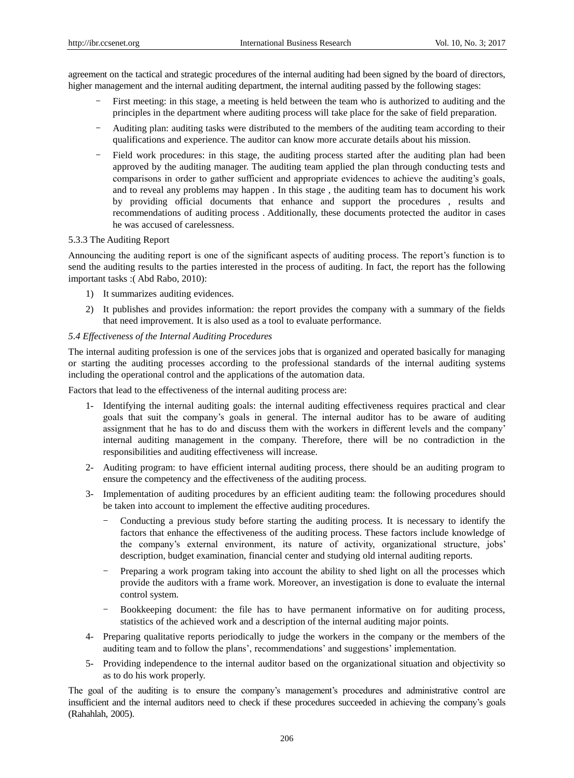agreement on the tactical and strategic procedures of the internal auditing had been signed by the board of directors, higher management and the internal auditing department, the internal auditing passed by the following stages:

- First meeting: in this stage, a meeting is held between the team who is authorized to auditing and the principles in the department where auditing process will take place for the sake of field preparation.
- Auditing plan: auditing tasks were distributed to the members of the auditing team according to their qualifications and experience. The auditor can know more accurate details about his mission.
- Field work procedures: in this stage, the auditing process started after the auditing plan had been approved by the auditing manager. The auditing team applied the plan through conducting tests and comparisons in order to gather sufficient and appropriate evidences to achieve the auditing's goals, and to reveal any problems may happen . In this stage , the auditing team has to document his work by providing official documents that enhance and support the procedures , results and recommendations of auditing process . Additionally, these documents protected the auditor in cases he was accused of carelessness.

# 5.3.3 The Auditing Report

Announcing the auditing report is one of the significant aspects of auditing process. The report's function is to send the auditing results to the parties interested in the process of auditing. In fact, the report has the following important tasks :( Abd Rabo, 2010):

- 1) It summarizes auditing evidences.
- 2) It publishes and provides information: the report provides the company with a summary of the fields that need improvement. It is also used as a tool to evaluate performance.

#### *5.4 Effectiveness of the Internal Auditing Procedures*

The internal auditing profession is one of the services jobs that is organized and operated basically for managing or starting the auditing processes according to the professional standards of the internal auditing systems including the operational control and the applications of the automation data.

Factors that lead to the effectiveness of the internal auditing process are:

- 1- Identifying the internal auditing goals: the internal auditing effectiveness requires practical and clear goals that suit the company's goals in general. The internal auditor has to be aware of auditing assignment that he has to do and discuss them with the workers in different levels and the company' internal auditing management in the company. Therefore, there will be no contradiction in the responsibilities and auditing effectiveness will increase.
- 2- Auditing program: to have efficient internal auditing process, there should be an auditing program to ensure the competency and the effectiveness of the auditing process.
- 3- Implementation of auditing procedures by an efficient auditing team: the following procedures should be taken into account to implement the effective auditing procedures.
	- Conducting a previous study before starting the auditing process. It is necessary to identify the factors that enhance the effectiveness of the auditing process. These factors include knowledge of the company's external environment, its nature of activity, organizational structure, jobs' description, budget examination, financial center and studying old internal auditing reports.
	- Preparing a work program taking into account the ability to shed light on all the processes which provide the auditors with a frame work. Moreover, an investigation is done to evaluate the internal control system.
	- Bookkeeping document: the file has to have permanent informative on for auditing process, statistics of the achieved work and a description of the internal auditing major points.
- 4- Preparing qualitative reports periodically to judge the workers in the company or the members of the auditing team and to follow the plans', recommendations' and suggestions' implementation.
- 5- Providing independence to the internal auditor based on the organizational situation and objectivity so as to do his work properly.

The goal of the auditing is to ensure the company's management's procedures and administrative control are insufficient and the internal auditors need to check if these procedures succeeded in achieving the company's goals (Rahahlah, 2005).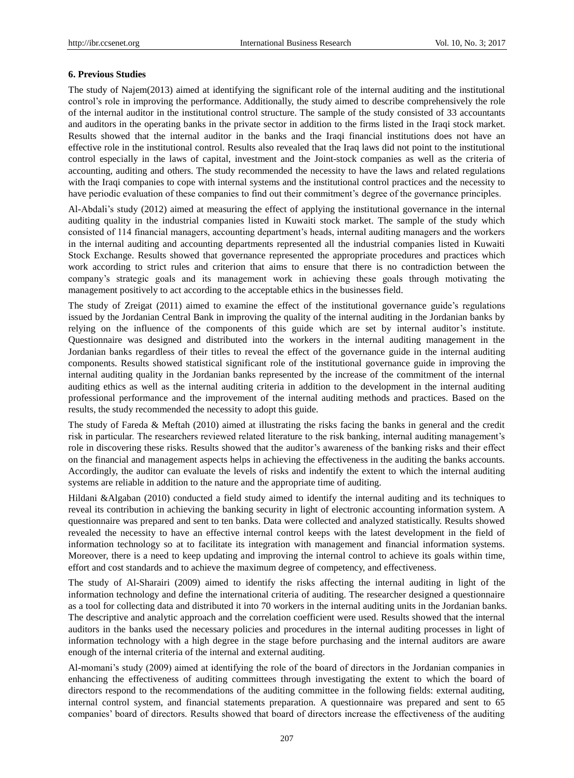#### **6. Previous Studies**

The study of Najem(2013) aimed at identifying the significant role of the internal auditing and the institutional control's role in improving the performance. Additionally, the study aimed to describe comprehensively the role of the internal auditor in the institutional control structure. The sample of the study consisted of 33 accountants and auditors in the operating banks in the private sector in addition to the firms listed in the Iraqi stock market. Results showed that the internal auditor in the banks and the Iraqi financial institutions does not have an effective role in the institutional control. Results also revealed that the Iraq laws did not point to the institutional control especially in the laws of capital, investment and the Joint-stock companies as well as the criteria of accounting, auditing and others. The study recommended the necessity to have the laws and related regulations with the Iraqi companies to cope with internal systems and the institutional control practices and the necessity to have periodic evaluation of these companies to find out their commitment's degree of the governance principles.

Al-Abdali's study (2012) aimed at measuring the effect of applying the institutional governance in the internal auditing quality in the industrial companies listed in Kuwaiti stock market. The sample of the study which consisted of 114 financial managers, accounting department's heads, internal auditing managers and the workers in the internal auditing and accounting departments represented all the industrial companies listed in Kuwaiti Stock Exchange. Results showed that governance represented the appropriate procedures and practices which work according to strict rules and criterion that aims to ensure that there is no contradiction between the company's strategic goals and its management work in achieving these goals through motivating the management positively to act according to the acceptable ethics in the businesses field.

The study of Zreigat (2011) aimed to examine the effect of the institutional governance guide's regulations issued by the Jordanian Central Bank in improving the quality of the internal auditing in the Jordanian banks by relying on the influence of the components of this guide which are set by internal auditor's institute. Questionnaire was designed and distributed into the workers in the internal auditing management in the Jordanian banks regardless of their titles to reveal the effect of the governance guide in the internal auditing components. Results showed statistical significant role of the institutional governance guide in improving the internal auditing quality in the Jordanian banks represented by the increase of the commitment of the internal auditing ethics as well as the internal auditing criteria in addition to the development in the internal auditing professional performance and the improvement of the internal auditing methods and practices. Based on the results, the study recommended the necessity to adopt this guide.

The study of Fareda & Meftah (2010) aimed at illustrating the risks facing the banks in general and the credit risk in particular. The researchers reviewed related literature to the risk banking, internal auditing management's role in discovering these risks. Results showed that the auditor's awareness of the banking risks and their effect on the financial and management aspects helps in achieving the effectiveness in the auditing the banks accounts. Accordingly, the auditor can evaluate the levels of risks and indentify the extent to which the internal auditing systems are reliable in addition to the nature and the appropriate time of auditing.

Hildani &Algaban (2010) conducted a field study aimed to identify the internal auditing and its techniques to reveal its contribution in achieving the banking security in light of electronic accounting information system. A questionnaire was prepared and sent to ten banks. Data were collected and analyzed statistically. Results showed revealed the necessity to have an effective internal control keeps with the latest development in the field of information technology so at to facilitate its integration with management and financial information systems. Moreover, there is a need to keep updating and improving the internal control to achieve its goals within time, effort and cost standards and to achieve the maximum degree of competency, and effectiveness.

The study of Al-Sharairi (2009) aimed to identify the risks affecting the internal auditing in light of the information technology and define the international criteria of auditing. The researcher designed a questionnaire as a tool for collecting data and distributed it into 70 workers in the internal auditing units in the Jordanian banks. The descriptive and analytic approach and the correlation coefficient were used. Results showed that the internal auditors in the banks used the necessary policies and procedures in the internal auditing processes in light of information technology with a high degree in the stage before purchasing and the internal auditors are aware enough of the internal criteria of the internal and external auditing.

Al-momani's study (2009) aimed at identifying the role of the board of directors in the Jordanian companies in enhancing the effectiveness of auditing committees through investigating the extent to which the board of directors respond to the recommendations of the auditing committee in the following fields: external auditing, internal control system, and financial statements preparation. A questionnaire was prepared and sent to 65 companies' board of directors. Results showed that board of directors increase the effectiveness of the auditing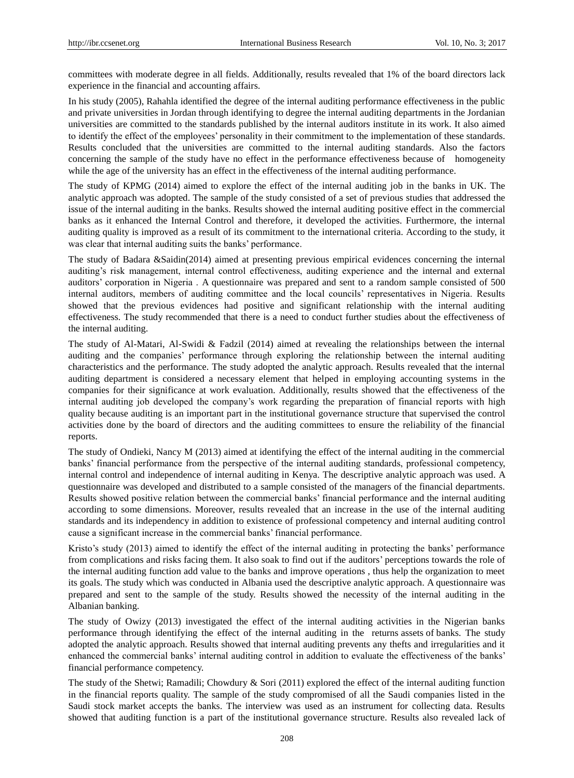committees with moderate degree in all fields. Additionally, results revealed that 1% of the board directors lack experience in the financial and accounting affairs.

In his study (2005), Rahahla identified the degree of the internal auditing performance effectiveness in the public and private universities in Jordan through identifying to degree the internal auditing departments in the Jordanian universities are committed to the standards published by the internal auditors institute in its work. It also aimed to identify the effect of the employees' personality in their commitment to the implementation of these standards. Results concluded that the universities are committed to the internal auditing standards. Also the factors concerning the sample of the study have no effect in the performance effectiveness because of homogeneity while the age of the university has an effect in the effectiveness of the internal auditing performance.

The study of KPMG (2014) aimed to explore the effect of the internal auditing job in the banks in UK. The analytic approach was adopted. The sample of the study consisted of a set of previous studies that addressed the issue of the internal auditing in the banks. Results showed the internal auditing positive effect in the commercial banks as it enhanced the Internal Control and therefore, it developed the activities. Furthermore, the internal auditing quality is improved as a result of its commitment to the international criteria. According to the study, it was clear that internal auditing suits the banks' performance.

The study of Badara &Saidin(2014) aimed at presenting previous empirical evidences concerning the internal auditing's risk management, internal control effectiveness, auditing experience and the internal and external auditors' corporation in Nigeria . A questionnaire was prepared and sent to a random sample consisted of 500 internal auditors, members of auditing committee and the local councils' representatives in Nigeria. Results showed that the previous evidences had positive and significant relationship with the internal auditing effectiveness. The study recommended that there is a need to conduct further studies about the effectiveness of the internal auditing.

The study of Al-Matari, Al-Swidi & Fadzil (2014) aimed at revealing the relationships between the internal auditing and the companies' performance through exploring the relationship between the internal auditing characteristics and the performance. The study adopted the analytic approach. Results revealed that the internal auditing department is considered a necessary element that helped in employing accounting systems in the companies for their significance at work evaluation. Additionally, results showed that the effectiveness of the internal auditing job developed the company's work regarding the preparation of financial reports with high quality because auditing is an important part in the institutional governance structure that supervised the control activities done by the board of directors and the auditing committees to ensure the reliability of the financial reports.

The study of Ondieki, Nancy M (2013) aimed at identifying the effect of the internal auditing in the commercial banks' financial performance from the perspective of the internal auditing standards, professional competency, internal control and independence of internal auditing in Kenya. The descriptive analytic approach was used. A questionnaire was developed and distributed to a sample consisted of the managers of the financial departments. Results showed positive relation between the commercial banks' financial performance and the internal auditing according to some dimensions. Moreover, results revealed that an increase in the use of the internal auditing standards and its independency in addition to existence of professional competency and internal auditing control cause a significant increase in the commercial banks' financial performance.

Kristo's study (2013) aimed to identify the effect of the internal auditing in protecting the banks' performance from complications and risks facing them. It also soak to find out if the auditors' perceptions towards the role of the internal auditing function add value to the banks and improve operations , thus help the organization to meet its goals. The study which was conducted in Albania used the descriptive analytic approach. A questionnaire was prepared and sent to the sample of the study. Results showed the necessity of the internal auditing in the Albanian banking.

The study of Owizy (2013) investigated the effect of the internal auditing activities in the Nigerian banks performance through identifying the effect of the internal auditing in the returns assets of banks. The study adopted the analytic approach. Results showed that internal auditing prevents any thefts and irregularities and it enhanced the commercial banks' internal auditing control in addition to evaluate the effectiveness of the banks' financial performance competency.

The study of the Shetwi; Ramadili; Chowdury & Sori (2011) explored the effect of the internal auditing function in the financial reports quality. The sample of the study compromised of all the Saudi companies listed in the Saudi stock market accepts the banks. The interview was used as an instrument for collecting data. Results showed that auditing function is a part of the institutional governance structure. Results also revealed lack of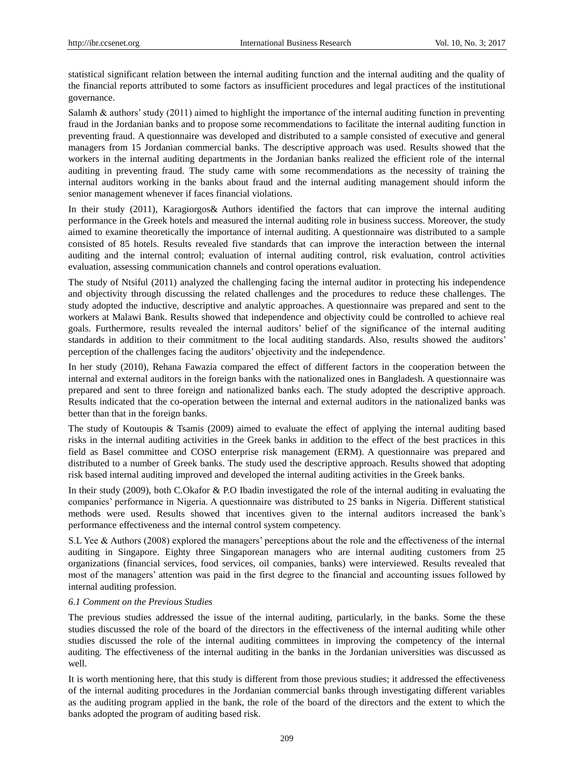statistical significant relation between the internal auditing function and the internal auditing and the quality of the financial reports attributed to some factors as insufficient procedures and legal practices of the institutional governance.

Salamh & authors' study (2011) aimed to highlight the importance of the internal auditing function in preventing fraud in the Jordanian banks and to propose some recommendations to facilitate the internal auditing function in preventing fraud. A questionnaire was developed and distributed to a sample consisted of executive and general managers from 15 Jordanian commercial banks. The descriptive approach was used. Results showed that the workers in the internal auditing departments in the Jordanian banks realized the efficient role of the internal auditing in preventing fraud. The study came with some recommendations as the necessity of training the internal auditors working in the banks about fraud and the internal auditing management should inform the senior management whenever if faces financial violations.

In their study (2011), Karagiorgos& Authors identified the factors that can improve the internal auditing performance in the Greek hotels and measured the internal auditing role in business success. Moreover, the study aimed to examine theoretically the importance of internal auditing. A questionnaire was distributed to a sample consisted of 85 hotels. Results revealed five standards that can improve the interaction between the internal auditing and the internal control; evaluation of internal auditing control, risk evaluation, control activities evaluation, assessing communication channels and control operations evaluation.

The study of Ntsiful (2011) analyzed the challenging facing the internal auditor in protecting his independence and objectivity through discussing the related challenges and the procedures to reduce these challenges. The study adopted the inductive, descriptive and analytic approaches. A questionnaire was prepared and sent to the workers at Malawi Bank. Results showed that independence and objectivity could be controlled to achieve real goals. Furthermore, results revealed the internal auditors' belief of the significance of the internal auditing standards in addition to their commitment to the local auditing standards. Also, results showed the auditors' perception of the challenges facing the auditors' objectivity and the independence.

In her study (2010), Rehana Fawazia compared the effect of different factors in the cooperation between the internal and external auditors in the foreign banks with the nationalized ones in Bangladesh. A questionnaire was prepared and sent to three foreign and nationalized banks each. The study adopted the descriptive approach. Results indicated that the co-operation between the internal and external auditors in the nationalized banks was better than that in the foreign banks.

The study of Koutoupis & Tsamis (2009) aimed to evaluate the effect of applying the internal auditing based risks in the internal auditing activities in the Greek banks in addition to the effect of the best practices in this field as Basel committee and COSO enterprise risk management (ERM). A questionnaire was prepared and distributed to a number of Greek banks. The study used the descriptive approach. Results showed that adopting risk based internal auditing improved and developed the internal auditing activities in the Greek banks.

In their study (2009), both C.Okafor & P.O Ibadin investigated the role of the internal auditing in evaluating the companies' performance in Nigeria. A questionnaire was distributed to 25 banks in Nigeria. Different statistical methods were used. Results showed that incentives given to the internal auditors increased the bank's performance effectiveness and the internal control system competency.

S.L Yee & Authors (2008) explored the managers' perceptions about the role and the effectiveness of the internal auditing in Singapore. Eighty three Singaporean managers who are internal auditing customers from 25 organizations (financial services, food services, oil companies, banks) were interviewed. Results revealed that most of the managers' attention was paid in the first degree to the financial and accounting issues followed by internal auditing profession.

# *6.1 Comment on the Previous Studies*

The previous studies addressed the issue of the internal auditing, particularly, in the banks. Some the these studies discussed the role of the board of the directors in the effectiveness of the internal auditing while other studies discussed the role of the internal auditing committees in improving the competency of the internal auditing. The effectiveness of the internal auditing in the banks in the Jordanian universities was discussed as well.

It is worth mentioning here, that this study is different from those previous studies; it addressed the effectiveness of the internal auditing procedures in the Jordanian commercial banks through investigating different variables as the auditing program applied in the bank, the role of the board of the directors and the extent to which the banks adopted the program of auditing based risk.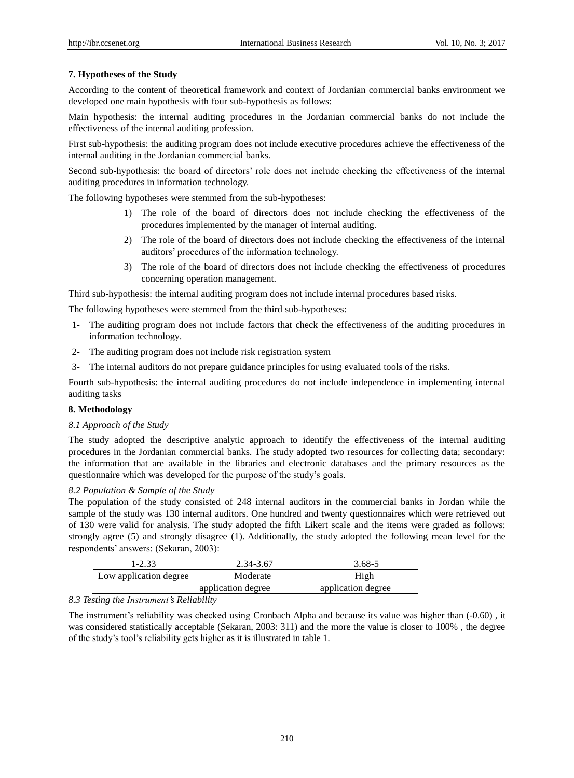# **7. Hypotheses of the Study**

According to the content of theoretical framework and context of Jordanian commercial banks environment we developed one main hypothesis with four sub-hypothesis as follows:

Main hypothesis: the internal auditing procedures in the Jordanian commercial banks do not include the effectiveness of the internal auditing profession.

First sub-hypothesis: the auditing program does not include executive procedures achieve the effectiveness of the internal auditing in the Jordanian commercial banks.

Second sub-hypothesis: the board of directors' role does not include checking the effectiveness of the internal auditing procedures in information technology.

The following hypotheses were stemmed from the sub-hypotheses:

- 1) The role of the board of directors does not include checking the effectiveness of the procedures implemented by the manager of internal auditing.
- 2) The role of the board of directors does not include checking the effectiveness of the internal auditors' procedures of the information technology.
- 3) The role of the board of directors does not include checking the effectiveness of procedures concerning operation management.

Third sub-hypothesis: the internal auditing program does not include internal procedures based risks.

The following hypotheses were stemmed from the third sub-hypotheses:

- 1- The auditing program does not include factors that check the effectiveness of the auditing procedures in information technology.
- 2- The auditing program does not include risk registration system
- 3- The internal auditors do not prepare guidance principles for using evaluated tools of the risks.

Fourth sub-hypothesis: the internal auditing procedures do not include independence in implementing internal auditing tasks

# **8. Methodology**

# *8.1 Approach of the Study*

The study adopted the descriptive analytic approach to identify the effectiveness of the internal auditing procedures in the Jordanian commercial banks. The study adopted two resources for collecting data; secondary: the information that are available in the libraries and electronic databases and the primary resources as the questionnaire which was developed for the purpose of the study's goals.

# *8.2 Population & Sample of the Study*

The population of the study consisted of 248 internal auditors in the commercial banks in Jordan while the sample of the study was 130 internal auditors. One hundred and twenty questionnaires which were retrieved out of 130 were valid for analysis. The study adopted the fifth Likert scale and the items were graded as follows: strongly agree (5) and strongly disagree (1). Additionally, the study adopted the following mean level for the respondents' answers: (Sekaran, 2003):

| 1-2.33                 | 2.34-3.67          | 3.68-5             |
|------------------------|--------------------|--------------------|
| Low application degree | Moderate           | High               |
|                        | application degree | application degree |

# *8.3 Testing the Instrument's Reliability*

The instrument's reliability was checked using Cronbach Alpha and because its value was higher than (-0.60) , it was considered statistically acceptable (Sekaran, 2003: 311) and the more the value is closer to 100% , the degree of the study's tool's reliability gets higher as it is illustrated in table 1.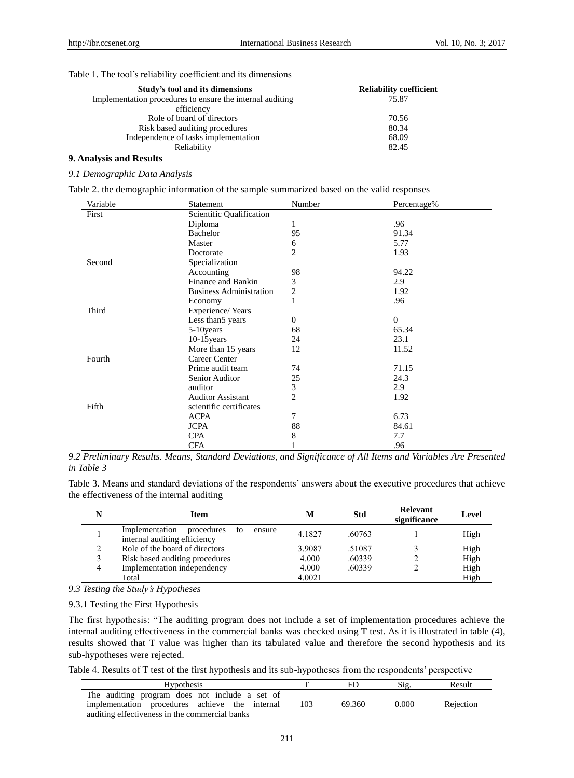| Study's tool and its dimensions                           | <b>Reliability coefficient</b> |  |
|-----------------------------------------------------------|--------------------------------|--|
| Implementation procedures to ensure the internal auditing | 75.87                          |  |
| efficiency                                                |                                |  |
| Role of board of directors                                | 70.56                          |  |
| Risk based auditing procedures                            | 80.34                          |  |
| Independence of tasks implementation                      | 68.09                          |  |
| Reliability                                               | 82.45                          |  |

#### **9. Analysis and Results**

*9.1 Demographic Data Analysis*

|  |  | Table 2. the demographic information of the sample summarized based on the valid responses |  |  |
|--|--|--------------------------------------------------------------------------------------------|--|--|
|  |  |                                                                                            |  |  |

| Variable | Statement                      | Number         | Percentage%    |
|----------|--------------------------------|----------------|----------------|
| First    | Scientific Qualification       |                |                |
|          | Diploma                        | 1              | .96            |
|          | Bachelor                       | 95             | 91.34          |
|          | Master                         | 6              | 5.77           |
|          | Doctorate                      | 2              | 1.93           |
| Second   | Specialization                 |                |                |
|          | Accounting                     | 98             | 94.22          |
|          | Finance and Bankin             | 3              | 2.9            |
|          | <b>Business Administration</b> | $\sqrt{2}$     | 1.92           |
|          | Economy                        | $\mathbf{1}$   | .96            |
| Third    | Experience/Years               |                |                |
|          | Less than 5 years              | $\mathbf{0}$   | $\overline{0}$ |
|          | 5-10 years                     | 68             | 65.34          |
|          | $10-15$ years                  | 24             | 23.1           |
|          | More than 15 years             | 12             | 11.52          |
| Fourth   | Career Center                  |                |                |
|          | Prime audit team               | 74             | 71.15          |
|          | Senior Auditor                 | 25             | 24.3           |
|          | auditor                        | 3              | 2.9            |
|          | <b>Auditor Assistant</b>       | $\overline{c}$ | 1.92           |
| Fifth    | scientific certificates        |                |                |
|          | <b>ACPA</b>                    | 7              | 6.73           |
|          | <b>JCPA</b>                    | 88             | 84.61          |
|          | <b>CPA</b>                     | 8              | 7.7            |
|          | <b>CFA</b>                     | 1              | .96            |

*9.2 Preliminary Results. Means, Standard Deviations, and Significance of All Items and Variables Are Presented in Table 3* 

Table 3. Means and standard deviations of the respondents' answers about the executive procedures that achieve the effectiveness of the internal auditing

|   | Item                                                                         | M      | Std    | Relevant<br>significance | Level |
|---|------------------------------------------------------------------------------|--------|--------|--------------------------|-------|
|   | Implementation<br>procedures<br>ensure<br>to<br>internal auditing efficiency | 4.1827 | .60763 |                          | High  |
| ◠ | Role of the board of directors                                               | 3.9087 | .51087 |                          | High  |
|   | Risk based auditing procedures                                               | 4.000  | .60339 |                          | High  |
| 4 | Implementation independency                                                  | 4.000  | .60339 |                          | High  |
|   | Total                                                                        | 4.0021 |        |                          | High  |

*9.3 Testing the Study's Hypotheses*

9.3.1 Testing the First Hypothesis

The first hypothesis: "The auditing program does not include a set of implementation procedures achieve the internal auditing effectiveness in the commercial banks was checked using T test. As it is illustrated in table (4), results showed that T value was higher than its tabulated value and therefore the second hypothesis and its sub-hypotheses were rejected.

Table 4. Results of T test of the first hypothesis and its sub-hypotheses from the respondents' perspective

| <b>Hypothesis</b>                                                                                                                                  |     | FD     | Sig.  | Result    |
|----------------------------------------------------------------------------------------------------------------------------------------------------|-----|--------|-------|-----------|
| The auditing program does not include a set of<br>implementation procedures achieve the internal<br>auditing effectiveness in the commercial banks | 103 | 69.360 | 0.000 | Rejection |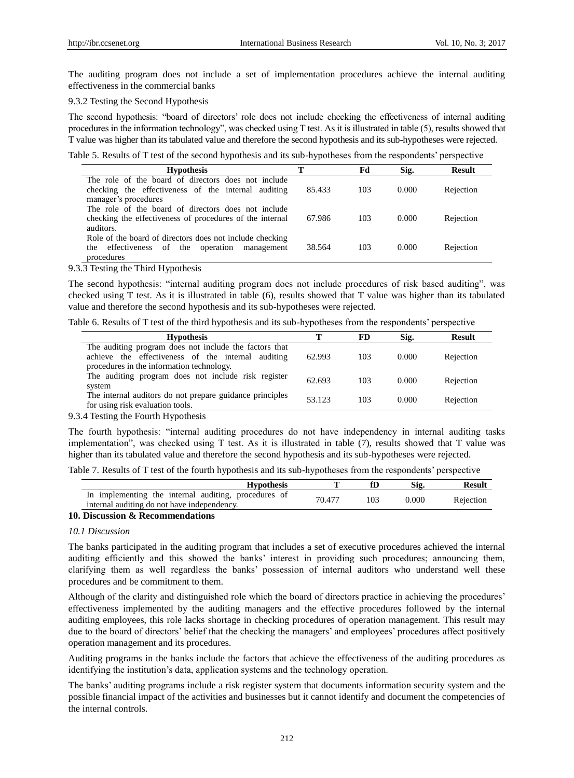The auditing program does not include a set of implementation procedures achieve the internal auditing effectiveness in the commercial banks

#### 9.3.2 Testing the Second Hypothesis

The second hypothesis: "board of directors' role does not include checking the effectiveness of internal auditing procedures in the information technology", was checked using T test. As it is illustrated in table (5), results showed that T value was higher than its tabulated value and therefore the second hypothesis and its sub-hypotheses were rejected.

Table 5. Results of T test of the second hypothesis and its sub-hypotheses from the respondents' perspective

| <b>Hypothesis</b>                                                                                                          |        | Fd  | Sig.  | <b>Result</b> |
|----------------------------------------------------------------------------------------------------------------------------|--------|-----|-------|---------------|
| The role of the board of directors does not include<br>checking the effectiveness of the internal auditing                 | 85.433 | 103 | 0.000 | Rejection     |
| manager's procedures<br>The role of the board of directors does not include                                                |        |     |       |               |
| checking the effectiveness of procedures of the internal<br>auditors.                                                      | 67.986 | 103 | 0.000 | Rejection     |
| Role of the board of directors does not include checking<br>the effectiveness of the operation<br>management<br>procedures | 38.564 | 103 | 0.000 | Rejection     |

#### 9.3.3 Testing the Third Hypothesis

The second hypothesis: "internal auditing program does not include procedures of risk based auditing", was checked using T test. As it is illustrated in table (6), results showed that T value was higher than its tabulated value and therefore the second hypothesis and its sub-hypotheses were rejected.

Table 6. Results of T test of the third hypothesis and its sub-hypotheses from the respondents' perspective

| <b>Hypothesis</b>                                                                                                                                         |        | FD  | Sig.  | <b>Result</b> |
|-----------------------------------------------------------------------------------------------------------------------------------------------------------|--------|-----|-------|---------------|
| The auditing program does not include the factors that<br>achieve the effectiveness of the internal auditing<br>procedures in the information technology. | 62.993 | 103 | 0.000 | Rejection     |
| The auditing program does not include risk register<br>system                                                                                             | 62.693 | 103 | 0.000 | Rejection     |
| The internal auditors do not prepare guidance principles<br>for using risk evaluation tools.                                                              | 53.123 | 103 | 0.000 | Rejection     |

9.3.4 Testing the Fourth Hypothesis

The fourth hypothesis: "internal auditing procedures do not have independency in internal auditing tasks implementation", was checked using T test. As it is illustrated in table (7), results showed that T value was higher than its tabulated value and therefore the second hypothesis and its sub-hypotheses were rejected.

Table 7. Results of T test of the fourth hypothesis and its sub-hypotheses from the respondents' perspective

| <b>Hypothesis</b>                                                                                   |        |     | Sig.  | <b>Result</b> |
|-----------------------------------------------------------------------------------------------------|--------|-----|-------|---------------|
| In implementing the internal auditing, procedures of<br>internal auditing do not have independency. | 70.477 | 103 | 0.000 | Rejection     |

# **10. Discussion & Recommendations**

#### *10.1 Discussion*

The banks participated in the auditing program that includes a set of executive procedures achieved the internal auditing efficiently and this showed the banks' interest in providing such procedures; announcing them, clarifying them as well regardless the banks' possession of internal auditors who understand well these procedures and be commitment to them.

Although of the clarity and distinguished role which the board of directors practice in achieving the procedures' effectiveness implemented by the auditing managers and the effective procedures followed by the internal auditing employees, this role lacks shortage in checking procedures of operation management. This result may due to the board of directors' belief that the checking the managers' and employees' procedures affect positively operation management and its procedures.

Auditing programs in the banks include the factors that achieve the effectiveness of the auditing procedures as identifying the institution's data, application systems and the technology operation.

The banks' auditing programs include a risk register system that documents information security system and the possible financial impact of the activities and businesses but it cannot identify and document the competencies of the internal controls.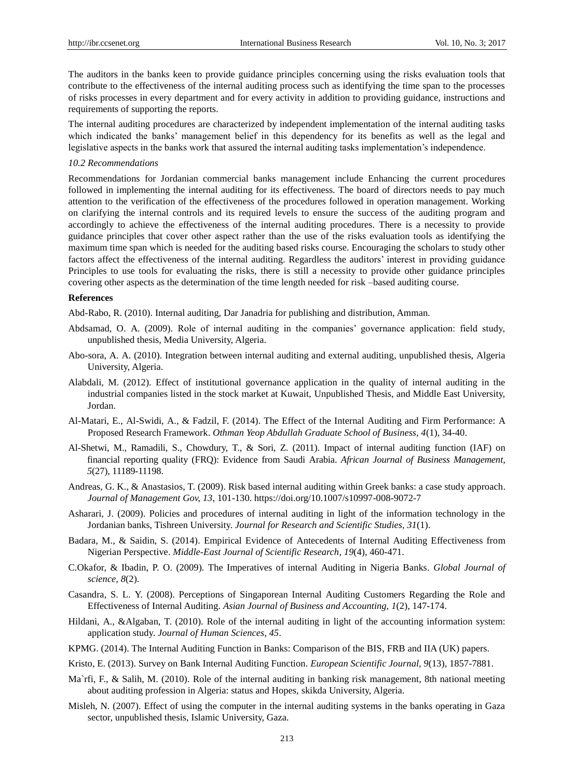The auditors in the banks keen to provide guidance principles concerning using the risks evaluation tools that contribute to the effectiveness of the internal auditing process such as identifying the time span to the processes of risks processes in every department and for every activity in addition to providing guidance, instructions and requirements of supporting the reports.

The internal auditing procedures are characterized by independent implementation of the internal auditing tasks which indicated the banks' management belief in this dependency for its benefits as well as the legal and legislative aspects in the banks work that assured the internal auditing tasks implementation's independence.

#### *10.2 Recommendations*

Recommendations for Jordanian commercial banks management include Enhancing the current procedures followed in implementing the internal auditing for its effectiveness. The board of directors needs to pay much attention to the verification of the effectiveness of the procedures followed in operation management. Working on clarifying the internal controls and its required levels to ensure the success of the auditing program and accordingly to achieve the effectiveness of the internal auditing procedures. There is a necessity to provide guidance principles that cover other aspect rather than the use of the risks evaluation tools as identifying the maximum time span which is needed for the auditing based risks course. Encouraging the scholars to study other factors affect the effectiveness of the internal auditing. Regardless the auditors' interest in providing guidance Principles to use tools for evaluating the risks, there is still a necessity to provide other guidance principles covering other aspects as the determination of the time length needed for risk –based auditing course.

#### **References**

Abd-Rabo, R. (2010). Internal auditing, Dar Janadria for publishing and distribution, Amman.

- Abdsamad, O. A. (2009). Role of internal auditing in the companies' governance application: field study, unpublished thesis, Media University, Algeria.
- Abo-sora, A. A. (2010). Integration between internal auditing and external auditing, unpublished thesis, Algeria University, Algeria.
- Alabdali, M. (2012). Effect of institutional governance application in the quality of internal auditing in the industrial companies listed in the stock market at Kuwait, Unpublished Thesis, and Middle East University, Jordan.
- Al-Matari, E., Al-Swidi, A., & Fadzil, F. (2014). The Effect of the Internal Auditing and Firm Performance: A Proposed Research Framework. *Othman Yeop Abdullah Graduate School of Business, 4*(1), 34-40.
- Al-Shetwi, M., Ramadili, S., Chowdury, T., & Sori, Z. (2011). Impact of internal auditing function (IAF) on financial reporting quality (FRQ): Evidence from Saudi Arabia. *African Journal of Business Management, 5*(27), 11189-11198.
- Andreas, G. K., & Anastasios, T. (2009). Risk based internal auditing within Greek banks: a case study approach. *Journal of Management Gov, 13*, 101-130. https://doi.org/10.1007/s10997-008-9072-7
- Asharari, J. (2009). Policies and procedures of internal auditing in light of the information technology in the Jordanian banks, Tishreen University. *Journal for Research and Scientific Studies, 31*(1).
- Badara, M., & Saidin, S. (2014). Empirical Evidence of Antecedents of Internal Auditing Effectiveness from Nigerian Perspective. *Middle-East Journal of Scientific Research, 19*(4), 460-471.
- C.Okafor, & Ibadin, P. O. (2009). The Imperatives of internal Auditing in Nigeria Banks. *Global Journal of science, 8*(2).
- Casandra, S. L. Y. (2008). Perceptions of Singaporean Internal Auditing Customers Regarding the Role and Effectiveness of Internal Auditing. *Asian Journal of Business and Accounting, 1*(2), 147-174.
- Hildani, A., &Algaban, T. (2010). Role of the internal auditing in light of the accounting information system: application study. *Journal of Human Sciences, 45*.
- KPMG. (2014). The Internal Auditing Function in Banks: Comparison of the BIS, FRB and IIA (UK) papers.
- Kristo, E. (2013). Survey on Bank Internal Auditing Function. *European Scientific Journal, 9*(13), 1857-7881.
- Ma`rfi, F., & Salih, M. (2010). Role of the internal auditing in banking risk management, 8th national meeting about auditing profession in Algeria: status and Hopes, skikda University, Algeria.
- Misleh, N. (2007). Effect of using the computer in the internal auditing systems in the banks operating in Gaza sector, unpublished thesis, Islamic University, Gaza.